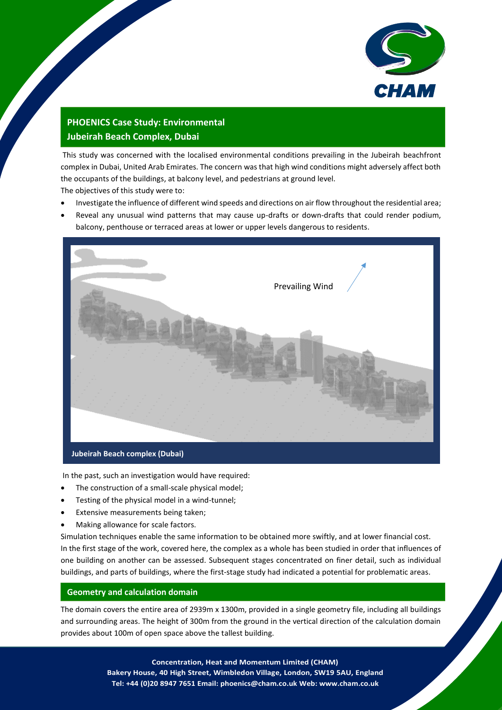

## **PHOENICS Case Study: Environmental Jubeirah Beach Complex, Dubai**

This study was concerned with the localised environmental conditions prevailing in the Jubeirah beachfront complex in Dubai, United Arab Emirates. The concern was that high wind conditions might adversely affect both the occupants of the buildings, at balcony level, and pedestrians at ground level.

The objectives of this study were to:

- Investigate the influence of different wind speeds and directions on air flow throughout the residential area;
- Reveal any unusual wind patterns that may cause up-drafts or down-drafts that could render podium, balcony, penthouse or terraced areas at lower or upper levels dangerous to residents.



In the past, such an investigation would have required:

- The construction of a small-scale physical model;
- Testing of the physical model in a wind-tunnel;
- Extensive measurements being taken;
- Making allowance for scale factors.

Simulation techniques enable the same information to be obtained more swiftly, and at lower financial cost. In the first stage of the work, covered here, the complex as a whole has been studied in order that influences of one building on another can be assessed. Subsequent stages concentrated on finer detail, such as individual buildings, and parts of buildings, where the first-stage study had indicated a potential for problematic areas.

## **Geometry and calculation domain**

The domain covers the entire area of 2939m x 1300m, provided in a single geometry file, including all buildings and surrounding areas. The height of 300m from the ground in the vertical direction of the calculation domain provides about 100m of open space above the tallest building.

> 1 **Concentration, Heat and Momentum Limited (CHAM) Bakery House, 40 High Street, Wimbledon Village, London, SW19 5AU, England Tel: +44 (0)20 8947 7651 Email: phoenics@cham.co.uk Web: www.cham.co.uk**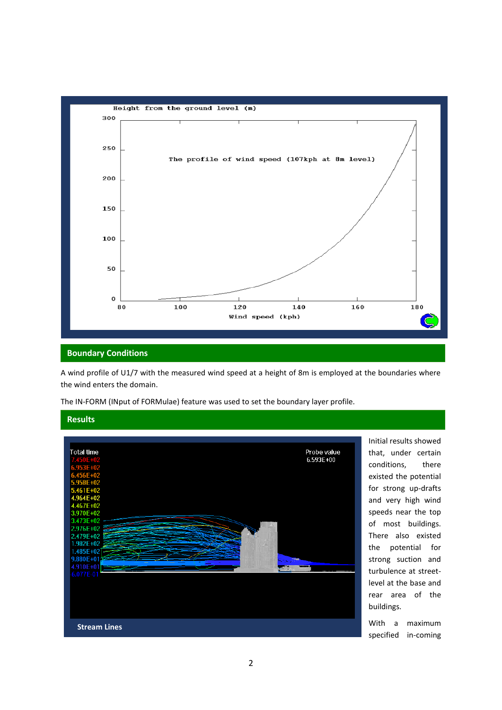

## **Boundary Conditions**

A wind profile of U1/7 with the measured wind speed at a height of 8m is employed at the boundaries where the wind enters the domain.

The IN-FORM (INput of FORMulae) feature was used to set the boundary layer profile.



Initial results showed that, under certain conditions, there existed the potential for strong up-drafts and very high wind speeds near the top of most buildings. There also existed the potential for strong suction and turbulence at streetlevel at the base and rear area of the buildings.

With a maximum specified in-coming